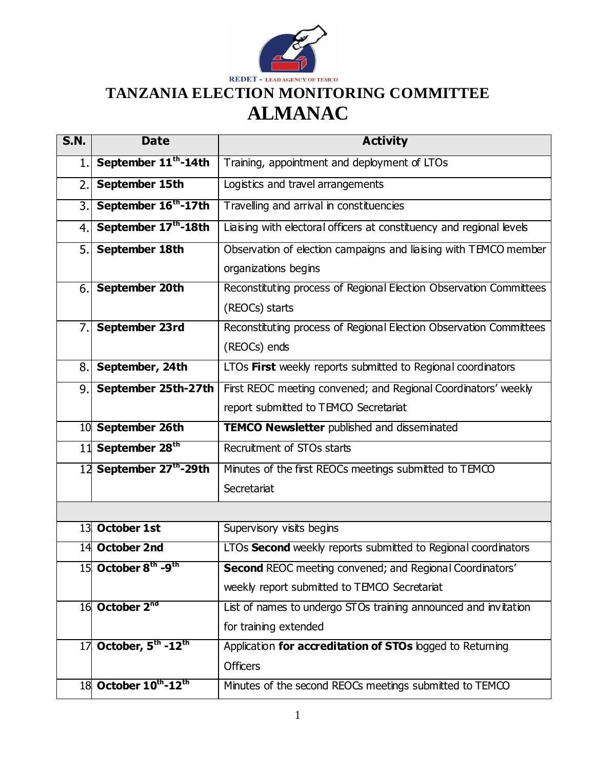

## **TANZANIA ELECTION MONITORING COMMITTEE ALMANAC**

| <b>S.N.</b> | <b>Date</b>                                 | <b>Activity</b>                                                      |
|-------------|---------------------------------------------|----------------------------------------------------------------------|
| 1.          | September 11 <sup>th</sup> -14th            | Training, appointment and deployment of LTOs                         |
| 2.          | September 15th                              | Logistics and travel arrangements                                    |
| 3.          | September 16th-17th                         | Travelling and arrival in constituencies                             |
| 4.          | September 17 <sup>th</sup> -18th            | Liaising with electoral officers at constituency and regional levels |
| 5.          | September 18th                              | Observation of election campaigns and liaising with TEMCO member     |
|             |                                             | organizations begins                                                 |
| 6.          | September 20th                              | Reconstituting process of Regional Election Observation Committees   |
|             |                                             | (REOCs) starts                                                       |
| 7.          | September 23rd                              | Reconstituting process of Regional Election Observation Committees   |
|             |                                             | (REOCs) ends                                                         |
| 8.          | September, 24th                             | LTOs First weekly reports submitted to Regional coordinators         |
| 9.          | September 25th-27th                         | First REOC meeting convened; and Regional Coordinators' weekly       |
|             |                                             | report submitted to TEMCO Secretariat                                |
|             | 10 September 26th                           | <b>TEMCO Newsletter</b> published and disseminated                   |
|             | 11 September 28 <sup>th</sup>               | Recruitment of STOs starts                                           |
|             | 12 September 27th-29th                      | Minutes of the first REOCs meetings submitted to TEMCO               |
|             |                                             | Secretariat                                                          |
|             |                                             |                                                                      |
|             | 13 October 1st                              | Supervisory visits begins                                            |
|             | 14 October 2nd                              | LTOs Second weekly reports submitted to Regional coordinators        |
|             | 15 October 8 <sup>th</sup> -9 <sup>th</sup> | Second REOC meeting convened; and Regional Coordinators'             |
|             |                                             | weekly report submitted to TEMCO Secretariat                         |
|             | 16 October 2 <sup>nd</sup>                  | List of names to undergo STOs training announced and invitation      |
|             |                                             | for training extended                                                |
| 17          | October, 5 <sup>th</sup> -12 <sup>th</sup>  | Application for accreditation of STOs logged to Returning            |
|             |                                             | <b>Officers</b>                                                      |
|             | 18 October 10th-12th                        | Minutes of the second REOCs meetings submitted to TEMCO              |